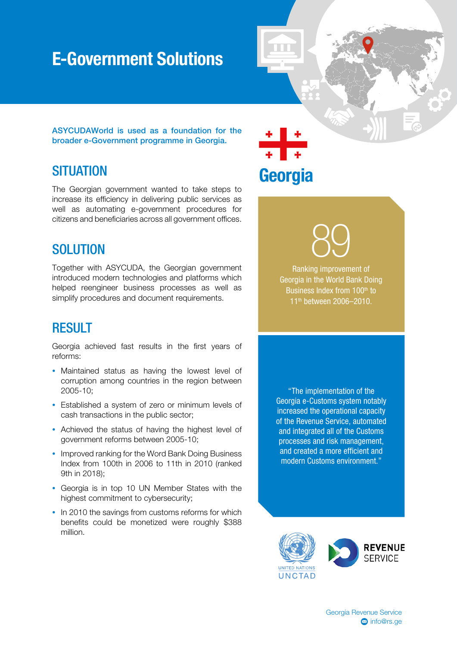# E-Government Solutions

ASYCUDAWorld is used as a foundation for the broader e-Government programme in Georgia.

## **SITUATION**

The Georgian government wanted to take steps to increase its efficiency in delivering public services as well as automating e-government procedures for citizens and beneficiaries across all government offices.

#### SOLUTION

Together with ASYCUDA, the Georgian government introduced modern technologies and platforms which helped reengineer business processes as well as simplify procedures and document requirements.

## **RESULT**

Georgia achieved fast results in the first years of reforms:

- Maintained status as having the lowest level of corruption among countries in the region between 2005-10;
- Established a system of zero or minimum levels of cash transactions in the public sector;
- Achieved the status of having the highest level of government reforms between 2005-10;
- Improved ranking for the Word Bank Doing Business Index from 100th in 2006 to 11th in 2010 (ranked 9th in 2018);
- Georgia is in top 10 UN Member States with the highest commitment to cybersecurity;
- In 2010 the savings from customs reforms for which benefits could be monetized were roughly \$388 million.

Georgia

89

Ranking improvement of Georgia in the World Bank Doing Business Index from 100<sup>th</sup> to 11<sup>th</sup> between 2006-2010.

"The implementation of the Georgia e-Customs system notably increased the operational capacity of the Revenue Service, automated and integrated all of the Customs processes and risk management, and created a more efficient and modern Customs environment."